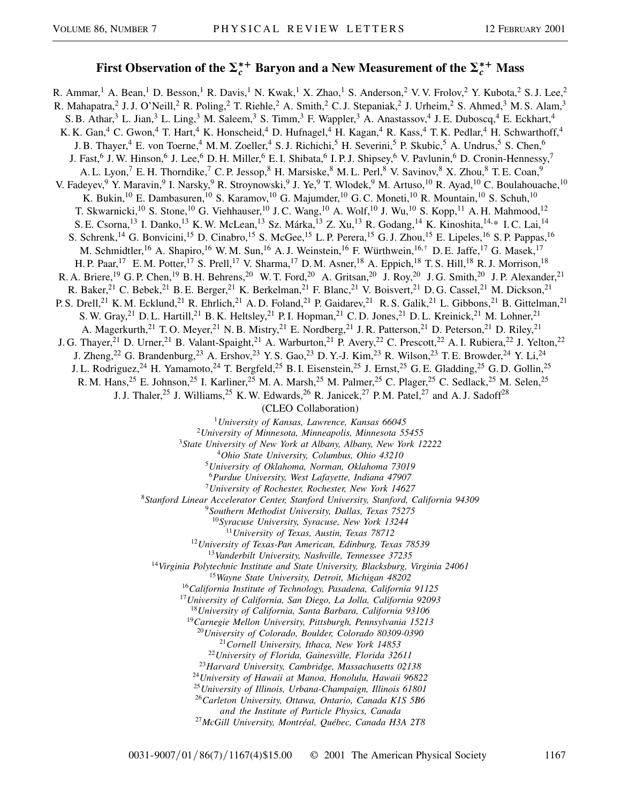## First Observation of the  $\Sigma_c^{*+}$  Baryon and a New Measurement of the  $\Sigma_c^{*+}$  Mass

R. Ammar,<sup>1</sup> A. Bean,<sup>1</sup> D. Besson,<sup>1</sup> R. Davis,<sup>1</sup> N. Kwak,<sup>1</sup> X. Zhao,<sup>1</sup> S. Anderson,<sup>2</sup> V. V. Frolov,<sup>2</sup> Y. Kubota,<sup>2</sup> S. J. Lee,<sup>2</sup> R. Mahapatra,<sup>2</sup> J. J. O'Neill,<sup>2</sup> R. Poling,<sup>2</sup> T. Riehle,<sup>2</sup> A. Smith,<sup>2</sup> C. J. Stepaniak,<sup>2</sup> J. Urheim,<sup>2</sup> S. Ahmed,<sup>3</sup> M. S. Alam,<sup>3</sup> S. B. Athar,<sup>3</sup> L. Jian,<sup>3</sup> L. Ling,<sup>3</sup> M. Saleem,<sup>3</sup> S. Timm,<sup>3</sup> F. Wappler,<sup>3</sup> A. Anastassov,<sup>4</sup> J. E. Duboscq,<sup>4</sup> E. Eckhart,<sup>4</sup> K. K. Gan,<sup>4</sup> C. Gwon,<sup>4</sup> T. Hart,<sup>4</sup> K. Honscheid,<sup>4</sup> D. Hufnagel,<sup>4</sup> H. Kagan,<sup>4</sup> R. Kass,<sup>4</sup> T. K. Pedlar,<sup>4</sup> H. Schwarthoff,<sup>4</sup> J. B. Thayer,<sup>4</sup> E. von Toerne,<sup>4</sup> M. M. Zoeller,<sup>4</sup> S. J. Richichi,<sup>5</sup> H. Severini,<sup>5</sup> P. Skubic,<sup>5</sup> A. Undrus,<sup>5</sup> S. Chen,<sup>6</sup> J. Fast,<sup>6</sup> J. W. Hinson,<sup>6</sup> J. Lee,<sup>6</sup> D. H. Miller,<sup>6</sup> E. I. Shibata,<sup>6</sup> I. P. J. Shipsey,<sup>6</sup> V. Pavlunin,<sup>6</sup> D. Cronin-Hennessy,<sup>7</sup> A. L. Lyon,<sup>7</sup> E. H. Thorndike,<sup>7</sup> C. P. Jessop,<sup>8</sup> H. Marsiske,<sup>8</sup> M. L. Perl,<sup>8</sup> V. Savinov,<sup>8</sup> X. Zhou,<sup>8</sup> T. E. Coan,<sup>9</sup> V. Fadeyev, <sup>9</sup> Y. Maravin, <sup>9</sup> I. Narsky, <sup>9</sup> R. Stroynowski, <sup>9</sup> J. Ye, <sup>9</sup> T. Wlodek, <sup>9</sup> M. Artuso, <sup>10</sup> R. Ayad, <sup>10</sup> C. Boulahouache, <sup>10</sup> K. Bukin,<sup>10</sup> E. Dambasuren,<sup>10</sup> S. Karamov,<sup>10</sup> G. Majumder,<sup>10</sup> G. C. Moneti,<sup>10</sup> R. Mountain,<sup>10</sup> S. Schuh,<sup>10</sup> T. Skwarnicki,<sup>10</sup> S. Stone,<sup>10</sup> G. Viehhauser,<sup>10</sup> J. C. Wang,<sup>10</sup> A. Wolf,<sup>10</sup> J. Wu,<sup>10</sup> S. Kopp,<sup>11</sup> A. H. Mahmood,<sup>12</sup> S. E. Csorna,<sup>13</sup> I. Danko,<sup>13</sup> K. W. McLean,<sup>13</sup> Sz. Márka,<sup>13</sup> Z. Xu,<sup>13</sup> R. Godang,<sup>14</sup> K. Kinoshita,<sup>14,\*</sup> I. C. Lai,<sup>14</sup> S. Schrenk,<sup>14</sup> G. Bonvicini,<sup>15</sup> D. Cinabro,<sup>15</sup> S. McGee,<sup>15</sup> L. P. Perera,<sup>15</sup> G. J. Zhou,<sup>15</sup> E. Lipeles,<sup>16</sup> S. P. Pappas,<sup>16</sup> M. Schmidtler,<sup>16</sup> A. Shapiro,<sup>16</sup> W. M. Sun,<sup>16</sup> A. J. Weinstein,<sup>16</sup> F. Würthwein,<sup>16,†</sup> D. E. Jaffe,<sup>17</sup> G. Masek,<sup>17</sup> H. P. Paar,<sup>17</sup> E. M. Potter,<sup>17</sup> S. Prell,<sup>17</sup> V. Sharma,<sup>17</sup> D. M. Asner,<sup>18</sup> A. Eppich,<sup>18</sup> T. S. Hill,<sup>18</sup> R. J. Morrison,<sup>18</sup> R. A. Briere,<sup>19</sup> G. P. Chen,<sup>19</sup> B. H. Behrens,<sup>20</sup> W. T. Ford,<sup>20</sup> A. Gritsan,<sup>20</sup> J. Roy,<sup>20</sup> J. G. Smith,<sup>20</sup> J. P. Alexander,<sup>21</sup> R. Baker,<sup>21</sup> C. Bebek,<sup>21</sup> B. E. Berger,<sup>21</sup> K. Berkelman,<sup>21</sup> F. Blanc,<sup>21</sup> V. Boisvert,<sup>21</sup> D. G. Cassel,<sup>21</sup> M. Dickson,<sup>21</sup> P. S. Drell,<sup>21</sup> K. M. Ecklund,<sup>21</sup> R. Ehrlich,<sup>21</sup> A. D. Foland,<sup>21</sup> P. Gaidarev,<sup>21</sup> R. S. Galik,<sup>21</sup> L. Gibbons,<sup>21</sup> B. Gittelman,<sup>21</sup> S. W. Gray,<sup>21</sup> D. L. Hartill,<sup>21</sup> B. K. Heltsley,<sup>21</sup> P. I. Hopman,<sup>21</sup> C. D. Jones,<sup>21</sup> D. L. Kreinick,<sup>21</sup> M. Lohner,<sup>21</sup> A. Magerkurth,<sup>21</sup> T.O. Meyer,<sup>21</sup> N. B. Mistry,<sup>21</sup> E. Nordberg,<sup>21</sup> J. R. Patterson,<sup>21</sup> D. Peterson,<sup>21</sup> D. Riley,<sup>21</sup> J. G. Thayer,<sup>21</sup> D. Urner,<sup>21</sup> B. Valant-Spaight,<sup>21</sup> A. Warburton,<sup>21</sup> P. Avery,<sup>22</sup> C. Prescott,<sup>22</sup> A. I. Rubiera,<sup>22</sup> J. Yelton,<sup>22</sup> J. Zheng,<sup>22</sup> G. Brandenburg,<sup>23</sup> A. Ershov,<sup>23</sup> Y. S. Gao,<sup>23</sup> D. Y.-J. Kim,<sup>23</sup> R. Wilson,<sup>23</sup> T. E. Browder,<sup>24</sup> Y. Li,<sup>24</sup> J. L. Rodriguez,<sup>24</sup> H. Yamamoto,<sup>24</sup> T. Bergfeld,<sup>25</sup> B. I. Eisenstein,<sup>25</sup> J. Ernst,<sup>25</sup> G. E. Gladding,<sup>25</sup> G. D. Gollin,<sup>25</sup> R. M. Hans,<sup>25</sup> E. Johnson,<sup>25</sup> I. Karliner,<sup>25</sup> M. A. Marsh,<sup>25</sup> M. Palmer,<sup>25</sup> C. Plager,<sup>25</sup> C. Sedlack,<sup>25</sup> M. Selen,<sup>25</sup> J. J. Thaler,<sup>25</sup> J. Williams,<sup>25</sup> K. W. Edwards,<sup>26</sup> R. Janicek,<sup>27</sup> P. M. Patel,<sup>27</sup> and A. J. Sadoff<sup>28</sup> (CLEO Collaboration) <sup>1</sup>*University of Kansas, Lawrence, Kansas 66045*

<sup>2</sup>*University of Minnesota, Minneapolis, Minnesota 55455*

<sup>3</sup>*State University of New York at Albany, Albany, New York 12222*

<sup>4</sup>*Ohio State University, Columbus, Ohio 43210*

<sup>5</sup>*University of Oklahoma, Norman, Oklahoma 73019*

<sup>6</sup>*Purdue University, West Lafayette, Indiana 47907*

<sup>7</sup>*University of Rochester, Rochester, New York 14627*

<sup>8</sup>*Stanford Linear Accelerator Center, Stanford University, Stanford, California 94309*

<sup>9</sup>*Southern Methodist University, Dallas, Texas 75275*

<sup>10</sup>*Syracuse University, Syracuse, New York 13244*

<sup>11</sup>*University of Texas, Austin, Texas 78712*

<sup>12</sup>*University of Texas-Pan American, Edinburg, Texas 78539*

<sup>13</sup>*Vanderbilt University, Nashville, Tennessee 37235*

<sup>14</sup>*Virginia Polytechnic Institute and State University, Blacksburg, Virginia 24061*

<sup>15</sup>*Wayne State University, Detroit, Michigan 48202*

<sup>16</sup>*California Institute of Technology, Pasadena, California 91125*

<sup>17</sup>*University of California, San Diego, La Jolla, California 92093*

<sup>18</sup>*University of California, Santa Barbara, California 93106*

<sup>19</sup>*Carnegie Mellon University, Pittsburgh, Pennsylvania 15213*

<sup>20</sup>*University of Colorado, Boulder, Colorado 80309-0390*

<sup>21</sup>*Cornell University, Ithaca, New York 14853*

<sup>22</sup>*University of Florida, Gainesville, Florida 32611*

<sup>23</sup>*Harvard University, Cambridge, Massachusetts 02138* <sup>24</sup>*University of Hawaii at Manoa, Honolulu, Hawaii 96822*

<sup>25</sup>*University of Illinois, Urbana-Champaign, Illinois 61801*

<sup>26</sup>*Carleton University, Ottawa, Ontario, Canada K1S 5B6*

*and the Institute of Particle Physics, Canada*

<sup>27</sup>*McGill University, Montréal, Québec, Canada H3A 2T8*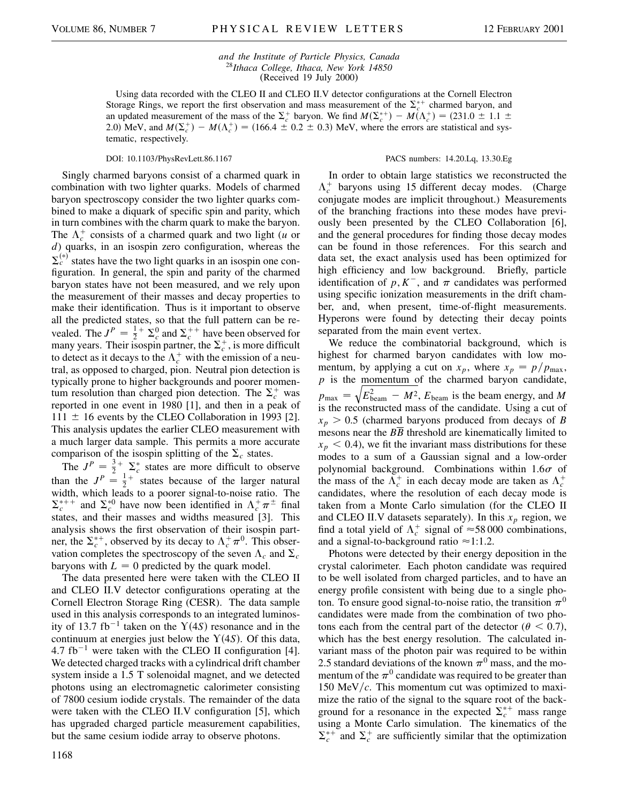*and the Institute of Particle Physics, Canada* <sup>28</sup>*Ithaca College, Ithaca, New York 14850* (Received 19 July 2000)

Using data recorded with the CLEO II and CLEO II.V detector configurations at the Cornell Electron Storage Rings, we report the first observation and mass measurement of the  $\Sigma_c^{*+}$  charmed baryon, and an updated measurement of the mass of the  $\Sigma_c^+$  baryon. We find  $M(\Sigma_c^{*+}) - M(\Lambda_c^+) = (231.0 \pm 1.1 \pm 1.0)$ 2.0) MeV, and  $M(\Sigma_c^+) - M(\Lambda_c^+) = (166.4 \pm 0.2 \pm 0.3)$  MeV, where the errors are statistical and systematic, respectively.

Singly charmed baryons consist of a charmed quark in combination with two lighter quarks. Models of charmed baryon spectroscopy consider the two lighter quarks combined to make a diquark of specific spin and parity, which in turn combines with the charm quark to make the baryon. The  $\Lambda_c^+$  consists of a charmed quark and two light (*u* or *d*) quarks, in an isospin zero configuration, whereas the  $\Sigma_c^{(*)}$  states have the two light quarks in an isospin one configuration. In general, the spin and parity of the charmed baryon states have not been measured, and we rely upon the measurement of their masses and decay properties to make their identification. Thus is it important to observe all the predicted states, so that the full pattern can be revealed. The  $J^P = \frac{1}{2} + \sum_c^0$  and  $\sum_c^{++}$  have been observed for many years. Their isospin partner, the  $\Sigma_c^+$ , is more difficult to detect as it decays to the  $\Lambda_c^+$  with the emission of a neutral, as opposed to charged, pion. Neutral pion detection is typically prone to higher backgrounds and poorer momentum resolution than charged pion detection. The  $\Sigma_c^+$  was reported in one event in 1980 [1], and then in a peak of  $111 \pm 16$  events by the CLEO Collaboration in 1993 [2]. This analysis updates the earlier CLEO measurement with a much larger data sample. This permits a more accurate comparison of the isospin splitting of the  $\Sigma_c$  states.

The  $J^P = \frac{3}{2} + \sum_c^*$  states are more difficult to observe than the  $J^P = \frac{1}{2}^+$  states because of the larger natural width, which leads to a poorer signal-to-noise ratio. The  $\Sigma_c^{*++}$  and  $\Sigma_c^{*0}$  have now been identified in  $\Lambda_c^+\pi^{\pm}$  final states, and their masses and widths measured [3]. This analysis shows the first observation of their isospin partner, the  $\Sigma_c^{*+}$ , observed by its decay to  $\Lambda_c^+\pi^0$ . This observation completes the spectroscopy of the seven  $\Lambda_c$  and  $\Sigma_c$ baryons with  $L = 0$  predicted by the quark model.

The data presented here were taken with the CLEO II and CLEO II.V detector configurations operating at the Cornell Electron Storage Ring (CESR). The data sample used in this analysis corresponds to an integrated luminosity of 13.7 fb<sup>-1</sup> taken on the  $Y(4S)$  resonance and in the continuum at energies just below the  $Y(4S)$ . Of this data, 4.7 fb<sup>-1</sup> were taken with the CLEO II configuration [4]. We detected charged tracks with a cylindrical drift chamber system inside a 1.5 T solenoidal magnet, and we detected photons using an electromagnetic calorimeter consisting of 7800 cesium iodide crystals. The remainder of the data were taken with the CLEO II.V configuration [5], which has upgraded charged particle measurement capabilities, but the same cesium iodide array to observe photons.

## 1168

## DOI: 10.1103/PhysRevLett.86.1167 PACS numbers: 14.20.Lq, 13.30.Eg

In order to obtain large statistics we reconstructed the  $\Lambda_c^+$  baryons using 15 different decay modes. (Charge conjugate modes are implicit throughout.) Measurements of the branching fractions into these modes have previously been presented by the CLEO Collaboration [6], and the general procedures for finding those decay modes can be found in those references. For this search and data set, the exact analysis used has been optimized for high efficiency and low background. Briefly, particle identification of  $p, K^-$ , and  $\pi$  candidates was performed using specific ionization measurements in the drift chamber, and, when present, time-of-flight measurements. Hyperons were found by detecting their decay points separated from the main event vertex.

We reduce the combinatorial background, which is highest for charmed baryon candidates with low momentum, by applying a cut on  $x_p$ , where  $x_p = p/p_{\text{max}}$ ,  $p$  is the <u>momentum of</u> the charmed baryon candidate,  $p_{\text{max}} = \sqrt{E_{\text{beam}}^2 - M^2}$ ,  $E_{\text{beam}}$  is the beam energy, and M is the reconstructed mass of the candidate. Using a cut of  $x_p > 0.5$  (charmed baryons produced from decays of *B* mesons near the  $B\overline{B}$  threshold are kinematically limited to  $x_p$  < 0.4), we fit the invariant mass distributions for these modes to a sum of a Gaussian signal and a low-order polynomial background. Combinations within  $1.6\sigma$  of the mass of the  $\Lambda_c^+$  in each decay mode are taken as  $\Lambda_c^+$ candidates, where the resolution of each decay mode is taken from a Monte Carlo simulation (for the CLEO II and CLEO II.V datasets separately). In this  $x_p$  region, we find a total yield of  $\Lambda_c^+$  signal of  $\approx$  58 000 combinations, and a signal-to-background ratio  $\approx$ 1:1.2.

Photons were detected by their energy deposition in the crystal calorimeter. Each photon candidate was required to be well isolated from charged particles, and to have an energy profile consistent with being due to a single photon. To ensure good signal-to-noise ratio, the transition  $\pi^0$ candidates were made from the combination of two photons each from the central part of the detector ( $\theta < 0.7$ ), which has the best energy resolution. The calculated invariant mass of the photon pair was required to be within 2.5 standard deviations of the known  $\pi^0$  mass, and the momentum of the  $\pi^0$  candidate was required to be greater than 150 MeV*c*. This momentum cut was optimized to maximize the ratio of the signal to the square root of the background for a resonance in the expected  $\Sigma_c^{*+}$  mass range using a Monte Carlo simulation. The kinematics of the  $\Sigma_c^{*+}$  and  $\Sigma_c^+$  are sufficiently similar that the optimization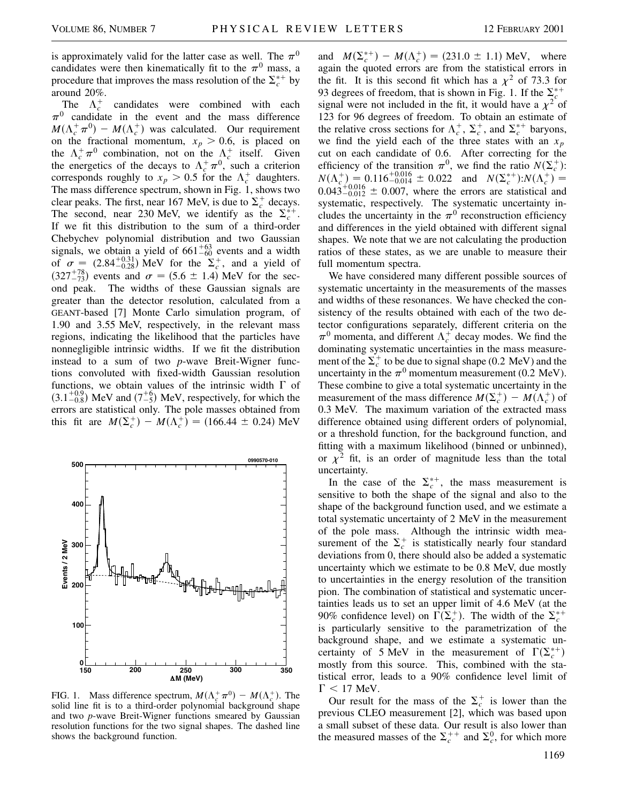is approximately valid for the latter case as well. The  $\pi^0$ candidates were then kinematically fit to the  $\pi^0$  mass, a procedure that improves the mass resolution of the  $\Sigma_c^{*+}$  by around 20%.

The  $\Lambda_c^+$  candidates were combined with each  $\pi^0$  candidate in the event and the mass difference  $M(\Lambda_c^+\pi^0) - M(\Lambda_c^+)$  was calculated. Our requirement on the fractional momentum,  $x_p > 0.6$ , is placed on the  $\Lambda_c^+ \pi^0$  combination, not on the  $\Lambda_c^+$  itself. Given the energetics of the decays to  $\Lambda_c^+\pi^0$ , such a criterion corresponds roughly to  $x_p > 0.5$  for the  $\Lambda_c^+$  daughters. The mass difference spectrum, shown in Fig. 1, shows two clear peaks. The first, near 167 MeV, is due to  $\Sigma_c^+$  decays. The second, near 230 MeV, we identify as the  $\Sigma_c^{*+}$ . If we fit this distribution to the sum of a third-order Chebychev polynomial distribution and two Gaussian signals, we obtain a yield of  $661^{+63}_{-60}$  events and a width of  $\sigma = (2.84^{+0.31}_{-0.28})$  MeV for the  $\Sigma_c^+$ , and a yield of  $(327^{+78}_{-73})$  events and  $\sigma = (5.6 \pm 1.4)$  MeV for the second peak. The widths of these Gaussian signals are greater than the detector resolution, calculated from a GEANT-based [7] Monte Carlo simulation program, of 1.90 and 3.55 MeV, respectively, in the relevant mass regions, indicating the likelihood that the particles have nonnegligible intrinsic widths. If we fit the distribution instead to a sum of two *p*-wave Breit-Wigner functions convoluted with fixed-width Gaussian resolution functions, we obtain values of the intrinsic width  $\Gamma$  of  $(3.1^{+0.9}_{-0.8})$  MeV and  $(7^{+6}_{-5})$  MeV, respectively, for which the errors are statistical only. The pole masses obtained from this fit are  $M(\Sigma_c^+) - M(\Lambda_c^+) = (166.44 \pm 0.24) \text{ MeV}$ 



FIG. 1. Mass difference spectrum,  $M(\Lambda_c^+\pi^0) - M(\Lambda_c^+)$ . The solid line fit is to a third-order polynomial background shape and two *p*-wave Breit-Wigner functions smeared by Gaussian resolution functions for the two signal shapes. The dashed line shows the background function.

and  $M(\Sigma_c^{*+}) - M(\Lambda_c^+) = (231.0 \pm 1.1) \text{ MeV}$ , where again the quoted errors are from the statistical errors in the fit. It is this second fit which has a  $\chi^2$  of 73.3 for 93 degrees of freedom, that is shown in Fig. 1. If the  $\sum_{c}^{*+}$ signal were not included in the fit, it would have a  $\chi^2$  of 123 for 96 degrees of freedom. To obtain an estimate of the relative cross sections for  $\Lambda_c^+$ ,  $\Sigma_c^+$ , and  $\Sigma_c^{*+}$  baryons, we find the yield each of the three states with an *xp* cut on each candidate of 0.6. After correcting for the efficiency of the transition  $\pi^0$ , we find the ratio  $N(\Sigma_c^+)$ :  $N(\Lambda_c^+) = 0.116_{-0.014}^{+0.016} \pm 0.022$  and  $N(\Sigma_c^{*+})$ : $N(\Lambda_c^+) =$  $0.043_{-0.012}^{+0.016} \pm 0.007$ , where the errors are statistical and systematic, respectively. The systematic uncertainty includes the uncertainty in the  $\pi^0$  reconstruction efficiency and differences in the yield obtained with different signal shapes. We note that we are not calculating the production ratios of these states, as we are unable to measure their full momentum spectra.

We have considered many different possible sources of systematic uncertainty in the measurements of the masses and widths of these resonances. We have checked the consistency of the results obtained with each of the two detector configurations separately, different criteria on the  $\pi^0$  momenta, and different  $\Lambda_c^+$  decay modes. We find the dominating systematic uncertainties in the mass measurement of the  $\Sigma_c^+$  to be due to signal shape (0.2 MeV) and the uncertainty in the  $\pi^0$  momentum measurement (0.2 MeV). These combine to give a total systematic uncertainty in the measurement of the mass difference  $M(\Sigma_c^+) - M(\Lambda_c^+)$  of 0.3 MeV. The maximum variation of the extracted mass difference obtained using different orders of polynomial, or a threshold function, for the background function, and fitting with a maximum likelihood (binned or unbinned), or  $\chi^2$  fit, is an order of magnitude less than the total uncertainty.

In the case of the  $\Sigma_c^{*+}$ , the mass measurement is sensitive to both the shape of the signal and also to the shape of the background function used, and we estimate a total systematic uncertainty of 2 MeV in the measurement of the pole mass. Although the intrinsic width measurement of the  $\Sigma_c^+$  is statistically nearly four standard deviations from 0, there should also be added a systematic uncertainty which we estimate to be 0.8 MeV, due mostly to uncertainties in the energy resolution of the transition pion. The combination of statistical and systematic uncertainties leads us to set an upper limit of 4.6 MeV (at the 90% confidence level) on  $\Gamma(\Sigma_c^+)$ . The width of the  $\Sigma_c^{*+}$ is particularly sensitive to the parametrization of the background shape, and we estimate a systematic uncertainty of 5 MeV in the measurement of  $\Gamma(\Sigma_c^{*+})$ mostly from this source. This, combined with the statistical error, leads to a 90% confidence level limit of  $\Gamma$  < 17 MeV.

Our result for the mass of the  $\Sigma_c^+$  is lower than the previous CLEO measurement [2], which was based upon a small subset of these data. Our result is also lower than the measured masses of the  $\Sigma_c^{++}$  and  $\Sigma_c^0$ , for which more